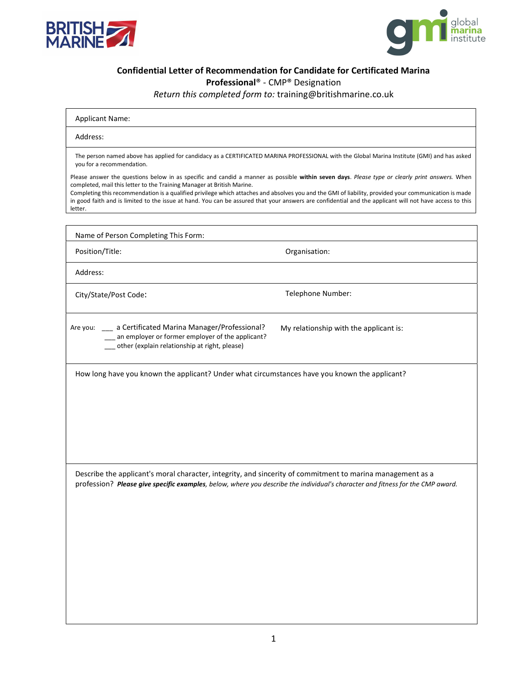



## Confidential Letter of Recommendation for Candidate for Certificated Marina

Professional® - CMP® Designation

Return this completed form to: training@britishmarine.co.uk

| <b>Applicant Name:</b>                                                                                                                                                                                                                                                                                                                                                                                                                                                                                                                               |
|------------------------------------------------------------------------------------------------------------------------------------------------------------------------------------------------------------------------------------------------------------------------------------------------------------------------------------------------------------------------------------------------------------------------------------------------------------------------------------------------------------------------------------------------------|
| Address:                                                                                                                                                                                                                                                                                                                                                                                                                                                                                                                                             |
| The person named above has applied for candidacy as a CERTIFICATED MARINA PROFESSIONAL with the Global Marina Institute (GMI) and has asked<br>you for a recommendation.                                                                                                                                                                                                                                                                                                                                                                             |
| Please answer the questions below in as specific and candid a manner as possible within seven days. Please type or clearly print answers. When<br>completed, mail this letter to the Training Manager at British Marine.<br>Completing this recommendation is a qualified privilege which attaches and absolves you and the GMI of liability, provided your communication is made<br>to graph fother and to limited to the incurrent bood. Vary and positional that you are accuracy and fidential and the anglicant will not begin accorded to this |

in good faith and is limited to the issue at hand. You can be assured that your answers are confidential and the applicant will not have access to this letter.

Name of Person Completing This Form: Position/Title: Contract of Contract of Contract of Contract Organisation: Address: City/State/Post Code: Telephone Number: Are you: \_\_\_ a Certificated Marina Manager/Professional? \_\_\_ an employer or former employer of the applicant? \_\_\_ other (explain relationship at right, please) My relationship with the applicant is: How long have you known the applicant? Under what circumstances have you known the applicant? Describe the applicant's moral character, integrity, and sincerity of commitment to marina management as a profession? Please give specific examples, below, where you describe the individual's character and fitness for the CMP award.